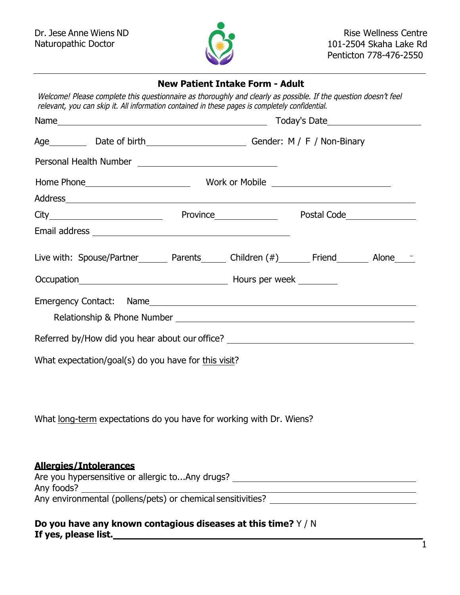

# **New Patient Intake Form - Adult**

Welcome! Please complete this questionnaire as thoroughly and clearly as possible. If the question doesn't feel relevant, you can skip it. All information contained in these pages is completely confidential.

|                                                                                                  | Age ___________ Date of birth ________________________________Gender: M / F / Non-Binary |  |  |  |
|--------------------------------------------------------------------------------------------------|------------------------------------------------------------------------------------------|--|--|--|
|                                                                                                  |                                                                                          |  |  |  |
|                                                                                                  |                                                                                          |  |  |  |
|                                                                                                  |                                                                                          |  |  |  |
| City Marian City Province Province Postal Code                                                   |                                                                                          |  |  |  |
|                                                                                                  |                                                                                          |  |  |  |
| Live with: Spouse/Partner _______ Parents ______ Children (#) _______ Friend _______ Alone _____ |                                                                                          |  |  |  |
|                                                                                                  |                                                                                          |  |  |  |
|                                                                                                  |                                                                                          |  |  |  |
| Referred by/How did you hear about our office? _________________________________                 |                                                                                          |  |  |  |
| What expectation/goal(s) do you have for this visit?                                             |                                                                                          |  |  |  |
| What long-term expectations do you have for working with Dr. Wiens?                              |                                                                                          |  |  |  |
| <b>Allergies/Intolerances</b><br>Any environmental (pollens/pets) or chemical sensitivities?     |                                                                                          |  |  |  |

# **Do you have any known contagious diseases at this time?** Y / N **If yes, please list.** \_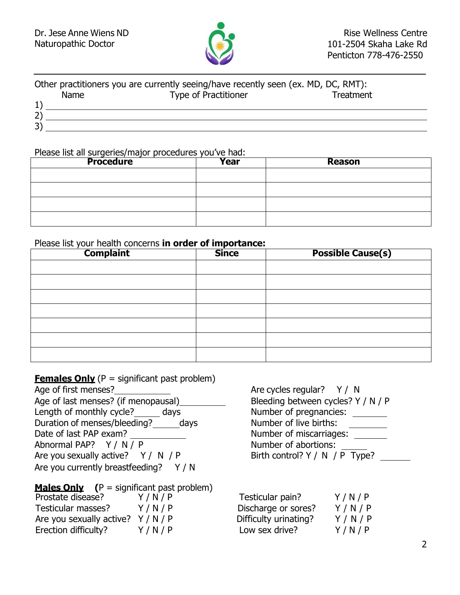

### Other practitioners you are currently seeing/have recently seen (ex. MD, DC, RMT): Name Type of Practitioner Treatment 1) 2) 3)

#### Please list all surgeries/major procedures you've had:

| <b>Procedure</b> | <b>Year</b> | <b>Reason</b> |
|------------------|-------------|---------------|
|                  |             |               |
|                  |             |               |
|                  |             |               |
|                  |             |               |

### Please list your health concerns **in order of importance:**

| <b>Complaint</b> | <b>Since</b> | <b>Possible Cause(s)</b> |
|------------------|--------------|--------------------------|
|                  |              |                          |
|                  |              |                          |
|                  |              |                          |
|                  |              |                          |
|                  |              |                          |
|                  |              |                          |
|                  |              |                          |

| <b>Females Only</b> ( $P =$ significant past problem) |       |                                    |           |
|-------------------------------------------------------|-------|------------------------------------|-----------|
| Age of first menses?                                  |       | Are cycles regular? $Y / N$        |           |
| Age of last menses? (if menopausal)                   |       | Bleeding between cycles? Y / N / P |           |
| Length of monthly cycle? days                         |       | Number of pregnancies:             |           |
| Duration of menses/bleeding? days                     |       | Number of live births:             |           |
| Date of last PAP exam?                                |       | Number of miscarriages:            |           |
| Abnormal PAP? Y / N / P                               |       | Number of abortions:               |           |
| Are you sexually active? $Y / N / P$                  |       | Birth control? $Y / N / P$ Type?   |           |
| Are you currently breastfeeding?                      | Y / N |                                    |           |
| <b>Males Only</b> $(P =$ significant past problem)    |       |                                    |           |
| Prostate disease?                                     | Y/N/P | Testicular pain?                   | Y/N/P     |
| Testicular masses?                                    | Y/N/P | Discharge or sores?                | Y/N/P     |
| Are you sexually active? $Y / N / P$                  |       | Difficulty urinating?              | Y / N / P |
| Erection difficulty?                                  | Y/N/P | Low sex drive?                     | Y/N/P     |

| Are cycles regular? $Y / N$        |
|------------------------------------|
| Bleeding between cycles? Y / N / P |
| Number of pregnancies:             |
| Number of live births:             |
| Number of miscarriages:            |
| Number of abortions:               |
| Birth control? $Y / N / P$ Type?   |

| Testicular pain?      | Y/N/P |
|-----------------------|-------|
| Discharge or sores?   | Y/N/P |
| Difficulty urinating? | Y/N/P |
| Low sex drive?        | Y/N/P |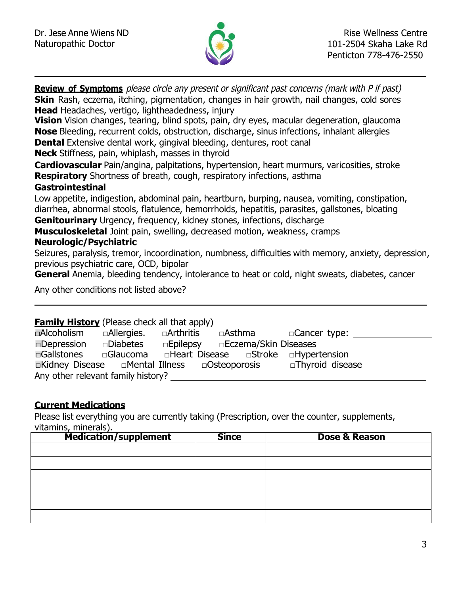

**Review of Symptoms** please circle any present or significant past concerns (mark with P if past) **Skin** Rash, eczema, itching, pigmentation, changes in hair growth, nail changes, cold sores **Head** Headaches, vertigo, lightheadedness, injury **Vision** Vision changes, tearing, blind spots, pain, dry eyes, macular degeneration, glaucoma **Nose** Bleeding, recurrent colds, obstruction, discharge, sinus infections, inhalant allergies **Dental** Extensive dental work, gingival bleeding, dentures, root canal **Neck** Stiffness, pain, whiplash, masses in thyroid **Cardiovascular** Pain/angina, palpitations, hypertension, heart murmurs, varicosities, stroke **Respiratory** Shortness of breath, cough, respiratory infections, asthma **Gastrointestinal** Low appetite, indigestion, abdominal pain, heartburn, burping, nausea, vomiting, constipation, diarrhea, abnormal stools, flatulence, hemorrhoids, hepatitis, parasites, gallstones, bloating **Genitourinary** Urgency, frequency, kidney stones, infections, discharge **Musculoskeletal** Joint pain, swelling, decreased motion, weakness, cramps

# **Neurologic/Psychiatric**

Seizures, paralysis, tremor, incoordination, numbness, difficulties with memory, anxiety, depression, previous psychiatric care, OCD, bipolar

**General** Anemia, bleeding tendency, intolerance to heat or cold, night sweats, diabetes, cancer

Any other conditions not listed above?

### **Family History** (Please check all that apply)

| □Alcoholism                                                     | $\Box$ Allergies. $\Box$ Arthritis |  | □Asthma                                                                | □Cancer type:    |  |
|-----------------------------------------------------------------|------------------------------------|--|------------------------------------------------------------------------|------------------|--|
| <b>Depression</b>                                               | <b>Diabetes</b>                    |  | □Epilepsy □Eczema/Skin Diseases                                        |                  |  |
| □Gallstones                                                     |                                    |  | $\Box$ Glaucoma $\Box$ Heart Disease $\Box$ Stroke $\Box$ Hypertension |                  |  |
| $\Box$ Kidney Disease $\Box$ Mental Illness $\Box$ Osteoporosis |                                    |  |                                                                        | □Thyroid disease |  |
| Any other relevant family history?                              |                                    |  |                                                                        |                  |  |

## **Current Medications**

Please list everything you are currently taking (Prescription, over the counter, supplements, vitamins, minerals).

| <b>Medication/supplement</b> | <b>Since</b> | <b>Dose &amp; Reason</b> |
|------------------------------|--------------|--------------------------|
|                              |              |                          |
|                              |              |                          |
|                              |              |                          |
|                              |              |                          |
|                              |              |                          |
|                              |              |                          |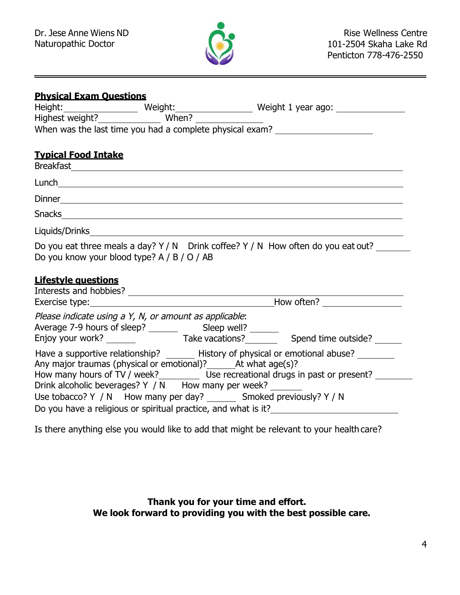

| <b>Physical Exam Questions</b>                                         |  |                                                                                                                                                                         |
|------------------------------------------------------------------------|--|-------------------------------------------------------------------------------------------------------------------------------------------------------------------------|
|                                                                        |  |                                                                                                                                                                         |
| Highest weight? Mhen?                                                  |  |                                                                                                                                                                         |
|                                                                        |  | When was the last time you had a complete physical exam? _______________________                                                                                        |
| <b>Typical Food Intake</b>                                             |  |                                                                                                                                                                         |
|                                                                        |  |                                                                                                                                                                         |
|                                                                        |  |                                                                                                                                                                         |
|                                                                        |  |                                                                                                                                                                         |
|                                                                        |  |                                                                                                                                                                         |
| Do you know your blood type? A / B / O / AB                            |  | Do you eat three meals a day? $Y/N$ Drink coffee? $Y/N$ How often do you eat out?                                                                                       |
| <b>Lifestyle questions</b>                                             |  |                                                                                                                                                                         |
|                                                                        |  |                                                                                                                                                                         |
| Please indicate using a Y, N, or amount as applicable:                 |  |                                                                                                                                                                         |
|                                                                        |  |                                                                                                                                                                         |
| Any major traumas (physical or emotional)? _______ At what age(s)?     |  | Have a supportive relationship? _______ History of physical or emotional abuse? ________<br>How many hours of TV / week?<br>Lise recreational drugs in past or present? |
| Drink alcoholic beverages? Y / N How many per week?                    |  |                                                                                                                                                                         |
| Use tobacco? Y / N How many per day? ________ Smoked previously? Y / N |  |                                                                                                                                                                         |
|                                                                        |  | Do you have a religious or spiritual practice, and what is it?<br><u>Do you have a religious or spiritual practice</u> , and what is it?                                |

Is there anything else you would like to add that might be relevant to your health care?

**Thank you for your time and effort. We look forward to providing you with the best possible care.**